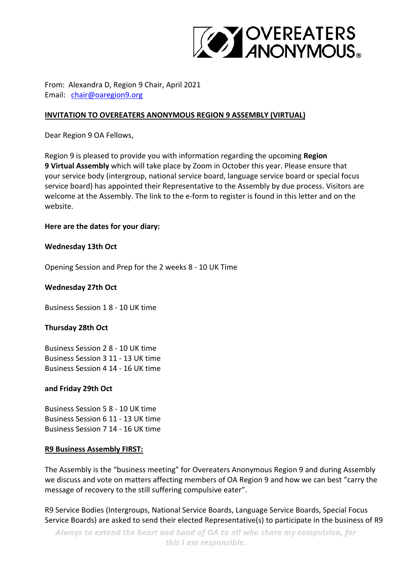

From: Alexandra D, Region 9 Chair, April 2021 Email:  chair@oaregion9.org

### **INVITATION TO OVEREATERS ANONYMOUS REGION 9 ASSEMBLY (VIRTUAL)**

Dear Region 9 OA Fellows,

Region 9 is pleased to provide you with information regarding the upcoming **Region 9 Virtual Assembly** which will take place by Zoom in October this year. Please ensure that your service body (intergroup, national service board, language service board or special focus service board) has appointed their Representative to the Assembly by due process. Visitors are welcome at the Assembly. The link to the e-form to register is found in this letter and on the website.

### **Here are the dates for your diary:**

#### **Wednesday 13th Oct**

Opening Session and Prep for the 2 weeks 8 - 10 UK Time

### **Wednesday 27th Oct**

Business Session 1 8 - 10 UK time

### **Thursday 28th Oct**

Business Session 2 8 - 10 UK time Business Session 3 11 - 13 UK time Business Session 4 14 - 16 UK time

#### **and Friday 29th Oct**

Business Session 5 8 - 10 UK time Business Session 6 11 - 13 UK time Business Session 7 14 - 16 UK time

#### **R9 Business Assembly FIRST:**

The Assembly is the "business meeting" for Overeaters Anonymous Region 9 and during Assembly we discuss and vote on matters affecting members of OA Region 9 and how we can best "carry the message of recovery to the still suffering compulsive eater".

R9 Service Bodies (Intergroups, National Service Boards, Language Service Boards, Special Focus Service Boards) are asked to send their elected Representative(s) to participate in the business of R9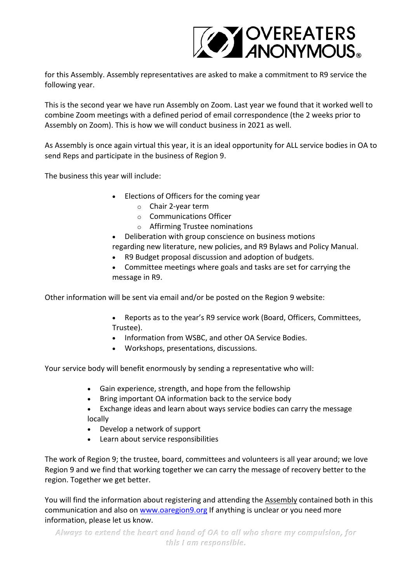

for this Assembly. Assembly representatives are asked to make a commitment to R9 service the following year.

This is the second year we have run Assembly on Zoom. Last year we found that it worked well to combine Zoom meetings with a defined period of email correspondence (the 2 weeks prior to Assembly on Zoom). This is how we will conduct business in 2021 as well.

As Assembly is once again virtual this year, it is an ideal opportunity for ALL service bodies in OA to send Reps and participate in the business of Region 9.

The business this year will include:

- Elections of Officers for the coming year
	- o Chair 2-year term
	- o Communications Officer
	- o Affirming Trustee nominations
- Deliberation with group conscience on business motions regarding new literature, new policies, and R9 Bylaws and Policy Manual.
- R9 Budget proposal discussion and adoption of budgets.
- Committee meetings where goals and tasks are set for carrying the message in R9.

Other information will be sent via email and/or be posted on the Region 9 website:

- Reports as to the year's R9 service work (Board, Officers, Committees, Trustee).
- Information from WSBC, and other OA Service Bodies.
- Workshops, presentations, discussions.

Your service body will benefit enormously by sending a representative who will:

- Gain experience, strength, and hope from the fellowship
- Bring important OA information back to the service body
- Exchange ideas and learn about ways service bodies can carry the message locally
- Develop a network of support
- Learn about service responsibilities

The work of Region 9; the trustee, board, committees and volunteers is all year around; we love Region 9 and we find that working together we can carry the message of recovery better to the region. Together we get better.

You will find the information about registering and attending the Assembly contained both in this communication and also on www.oaregion9.org If anything is unclear or you need more information, please let us know.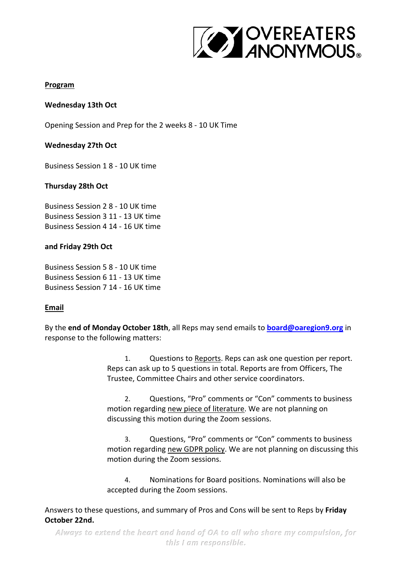

### **Program**

### **Wednesday 13th Oct**

Opening Session and Prep for the 2 weeks 8 - 10 UK Time

### **Wednesday 27th Oct**

Business Session 1 8 - 10 UK time

### **Thursday 28th Oct**

Business Session 2 8 - 10 UK time Business Session 3 11 - 13 UK time Business Session 4 14 - 16 UK time

### **and Friday 29th Oct**

Business Session 5 8 - 10 UK time Business Session 6 11 - 13 UK time Business Session 7 14 - 16 UK time

### **Email**

By the **end of Monday October 18th**, all Reps may send emails to **board@oaregion9.org** in response to the following matters:

> 1. Questions to Reports. Reps can ask one question per report. Reps can ask up to 5 questions in total. Reports are from Officers, The Trustee, Committee Chairs and other service coordinators.

> 2. Questions, "Pro" comments or "Con" comments to business motion regarding new piece of literature. We are not planning on discussing this motion during the Zoom sessions.

3. Questions, "Pro" comments or "Con" comments to business motion regarding new GDPR policy. We are not planning on discussing this motion during the Zoom sessions.

4. Nominations for Board positions. Nominations will also be accepted during the Zoom sessions.

Answers to these questions, and summary of Pros and Cons will be sent to Reps by **Friday October 22nd.**

*Always to extend the heart and hand of OA to all who share my compulsion, for this I am responsible.*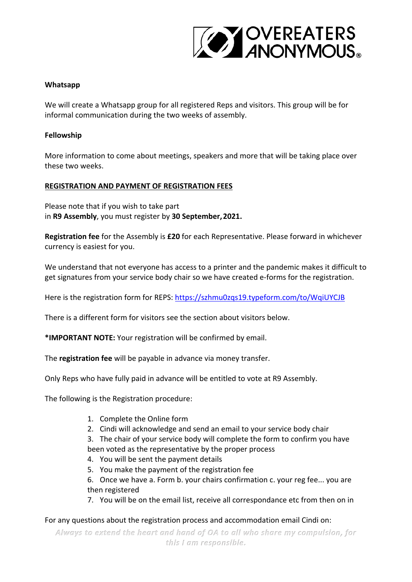

### **Whatsapp**

We will create a Whatsapp group for all registered Reps and visitors. This group will be for informal communication during the two weeks of assembly.

## **Fellowship**

More information to come about meetings, speakers and more that will be taking place over these two weeks.

## **REGISTRATION AND PAYMENT OF REGISTRATION FEES**

Please note that if you wish to take part in **R9 Assembly**, you must register by **30 September,2021.**

**Registration fee** for the Assembly is **£20** for each Representative. Please forward in whichever currency is easiest for you. 

We understand that not everyone has access to a printer and the pandemic makes it difficult to get signatures from your service body chair so we have created e-forms for the registration.

Here is the registration form for REPS: https://szhmu0zqs19.typeform.com/to/WqiUYCJB

There is a different form for visitors see the section about visitors below.

**\*IMPORTANT NOTE:** Your registration will be confirmed by email.

The **registration fee** will be payable in advance via money transfer. 

Only Reps who have fully paid in advance will be entitled to vote at R9 Assembly.

The following is the Registration procedure:

- 1. Complete the Online form
- 2. Cindi will acknowledge and send an email to your service body chair
- 3. The chair of your service body will complete the form to confirm you have been voted as the representative by the proper process
- 4. You will be sent the payment details
- 5. You make the payment of the registration fee

6. Once we have a. Form b. your chairs confirmation c. your reg fee... you are then registered

7. You will be on the email list, receive all correspondance etc from then on in

# For any questions about the registration process and accommodation email Cindi on:

*Always to extend the heart and hand of OA to all who share my compulsion, for this I am responsible.*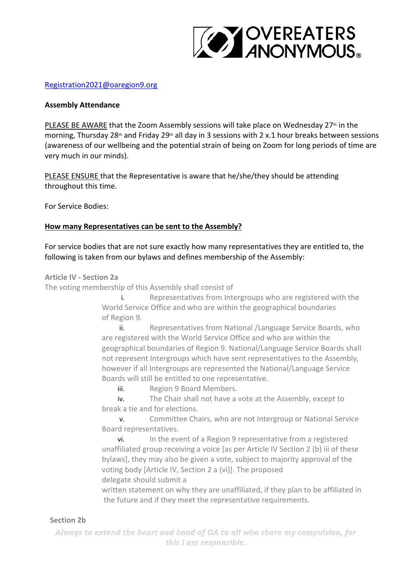

### Registration2021@oaregion9.org

### **Assembly Attendance**

PLEASE BE AWARE that the Zoom Assembly sessions will take place on Wednesday 27<sup>th</sup> in the morning, Thursday 28th and Friday 29th all day in 3 sessions with 2 x.1 hour breaks between sessions (awareness of our wellbeing and the potential strain of being on Zoom for long periods of time are very much in our minds).

PLEASE ENSURE that the Representative is aware that he/she/they should be attending throughout this time. 

For Service Bodies:

### **How many Representatives can be sent to the Assembly?**

For service bodies that are not sure exactly how many representatives they are entitled to, the following is taken from our bylaws and defines membership of the Assembly:

**Article IV - Section 2a**

The voting membership of this Assembly shall consist of

i. Representatives from Intergroups who are registered with the World Service Office and who are within the geographical boundaries of Region 9.

ii. Representatives from National /Language Service Boards, who are registered with the World Service Office and who are within the geographical boundaries of Region 9. National/Language Service Boards shall not represent Intergroups which have sent representatives to the Assembly, however if all Intergroups are represented the National/Language Service Boards will still be entitled to one representative.

iii. Region 9 Board Members.

iv. The Chair shall not have a vote at the Assembly, except to break a tie and for elections.

v. Committee Chairs, who are not Intergroup or National Service Board representatives.

vi. In the event of a Region 9 representative from a registered unaffiliated group receiving a voice [as per Article IV Section 2 (b) iii of these bylaws], they may also be given a vote, subject to majority approval of the voting body [Article IV, Section 2 a (vi)]. The proposed delegate should submit a

written statement on why they are unaffiliated, if they plan to be affiliated in  the future and if they meet the representative requirements.

### **Section 2b**

*Always to extend the heart and hand of OA to all who share my compulsion, for this I am responsible.*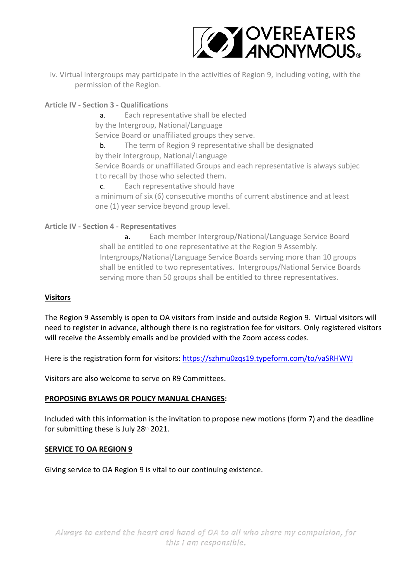

iv. Virtual Intergroups may participate in the activities of Region 9, including voting, with the permission of the Region.

# **Article IV - Section 3 - Qualifications**

a. Each representative shall be elected by the Intergroup, National/Language Service Board or unaffiliated groups they serve.

b. The term of Region 9 representative shall be designated by their Intergroup, National/Language

Service Boards or unaffiliated Groups and each representative is always subjec t to recall by those who selected them.

c. Each representative should have a minimum of six (6) consecutive months of current abstinence and at least one (1) year service beyond group level.

# **Article IV - Section 4 - Representatives**

a. Each member Intergroup/National/Language Service Board shall be entitled to one representative at the Region 9 Assembly.  Intergroups/National/Language Service Boards serving more than 10 groups shall be entitled to two representatives.  Intergroups/National Service Boards serving more than 50 groups shall be entitled to three representatives.

### **Visitors**

The Region 9 Assembly is open to OA visitors from inside and outside Region 9.  Virtual visitors will need to register in advance, although there is no registration fee for visitors. Only registered visitors will receive the Assembly emails and be provided with the Zoom access codes.

Here is the registration form for visitors: https://szhmu0zqs19.typeform.com/to/vaSRHWYJ

Visitors are also welcome to serve on R9 Committees. 

# **PROPOSING BYLAWS OR POLICY MANUAL CHANGES:**

Included with this information is the invitation to propose new motions (form 7) and the deadline for submitting these is July 28th 2021.

### **SERVICE TO OA REGION 9**

Giving service to OA Region 9 is vital to our continuing existence.